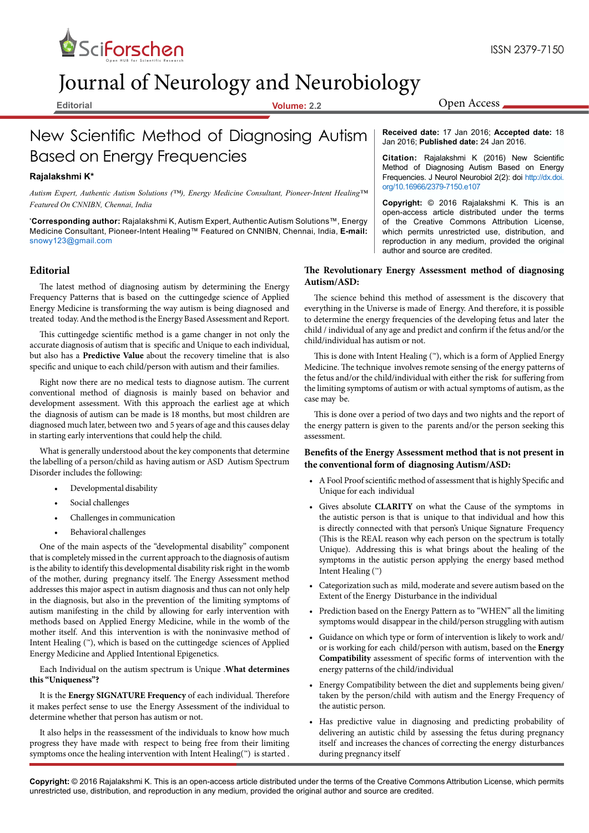

# Journal of Neurology and Neurobiology

**Editorial Volume: 2.2**

**Received date:** 17 Jan 2016; **Accepted date:** 18 Jan 2016; **Published date:** 24 Jan 2016.

Open Access

**Citation:** Rajalakshmi K (2016) New Scientific Method of Diagnosing Autism Based on Energy Frequencies. J Neurol Neurobiol 2(2): doi [http://dx.doi.](http://dx.doi.org/10.16966/2379-7150.e107) [org/10.16966/2379-7150.e107](http://dx.doi.org/10.16966/2379-7150.e107)

**Copyright:** © 2016 Rajalakshmi K. This is an open-access article distributed under the terms of the Creative Commons Attribution License, which permits unrestricted use, distribution, and reproduction in any medium, provided the original author and source are credited.

### **The Revolutionary Energy Assessment method of diagnosing Autism/ASD:**

The science behind this method of assessment is the discovery that everything in the Universe is made of Energy. And therefore, it is possible to determine the energy frequencies of the developing fetus and later the child / individual of any age and predict and confirm if the fetus and/or the child/individual has autism or not.

This is done with Intent Healing (™), which is a form of Applied Energy Medicine. The technique involves remote sensing of the energy patterns of the fetus and/or the child/individual with either the risk for suffering from the limiting symptoms of autism or with actual symptoms of autism, as the case may be.

This is done over a period of two days and two nights and the report of the energy pattern is given to the parents and/or the person seeking this assessment.

### **Benefits of the Energy Assessment method that is not present in the conventional form of diagnosing Autism/ASD:**

- • A Fool Proof scientific method of assessment that is highly Specific and Unique for each individual
- • Gives absolute **CLARITY** on what the Cause of the symptoms in the autistic person is that is unique to that individual and how this is directly connected with that person's Unique Signature Frequency (This is the REAL reason why each person on the spectrum is totally Unique). Addressing this is what brings about the healing of the symptoms in the autistic person applying the energy based method Intent Healing (™)
- Categorization such as mild, moderate and severe autism based on the Extent of the Energy Disturbance in the individual
- Prediction based on the Energy Pattern as to "WHEN" all the limiting symptoms would disappear in the child/person struggling with autism
- Guidance on which type or form of intervention is likely to work and/ or is working for each child/person with autism, based on the **Energy Compatibility** assessment of specific forms of intervention with the energy patterns of the child/individual
- Energy Compatibility between the diet and supplements being given/ taken by the person/child with autism and the Energy Frequency of the autistic person.
- • Has predictive value in diagnosing and predicting probability of delivering an autistic child by assessing the fetus during pregnancy itself and increases the chances of correcting the energy disturbances during pregnancy itself

# New Scientific Method of Diagnosing Autism Based on Energy Frequencies

## **Rajalakshmi K\***

*Autism Expert, Authentic Autism Solutions (™), Energy Medicine Consultant, Pioneer-Intent Healing™ Featured On CNNIBN, Chennai, India*

**\* Corresponding author:** Rajalakshmi K, Autism Expert, Authentic Autism Solutions™, Energy Medicine Consultant, Pioneer-Intent Healing™ Featured on CNNIBN, Chennai, India, **E-mail:**  snowy123@gmail.com

### **Editorial**

The latest method of diagnosing autism by determining the Energy Frequency Patterns that is based on the cuttingedge science of Applied Energy Medicine is transforming the way autism is being diagnosed and treated today. And the method is the Energy Based Assessment and Report.

This cuttingedge scientific method is a game changer in not only the accurate diagnosis of autism that is specific and Unique to each individual, but also has a **Predictive Value** about the recovery timeline that is also specific and unique to each child/person with autism and their families.

Right now there are no medical tests to diagnose autism. The current conventional method of diagnosis is mainly based on behavior and development assessment. With this approach the earliest age at which the diagnosis of autism can be made is 18 months, but most children are diagnosed much later, between two and 5 years of age and this causes delay in starting early interventions that could help the child.

What is generally understood about the key components that determine the labelling of a person/child as having autism or ASD Autism Spectrum Disorder includes the following:

- Developmental disability
- Social challenges
- Challenges in communication
- Behavioral challenges

One of the main aspects of the "developmental disability" component that is completely missed in the current approach to the diagnosis of autism is the ability to identify this developmental disability risk right in the womb of the mother, during pregnancy itself. The Energy Assessment method addresses this major aspect in autism diagnosis and thus can not only help in the diagnosis, but also in the prevention of the limiting symptoms of autism manifesting in the child by allowing for early intervention with methods based on Applied Energy Medicine, while in the womb of the mother itself. And this intervention is with the noninvasive method of Intent Healing (™), which is based on the cuttingedge sciences of Applied Energy Medicine and Applied Intentional Epigenetics.

Each Individual on the autism spectrum is Unique .**What determines this "Uniqueness"?**

It is the **Energy SIGNATURE Frequency** of each individual. Therefore it makes perfect sense to use the Energy Assessment of the individual to determine whether that person has autism or not.

It also helps in the reassessment of the individuals to know how much progress they have made with respect to being free from their limiting symptoms once the healing intervention with Intent Healing(<sup>™</sup>) is started .

**Copyright:** © 2016 Rajalakshmi K. This is an open-access article distributed under the terms of the Creative Commons Attribution License, which permits unrestricted use, distribution, and reproduction in any medium, provided the original author and source are credited.